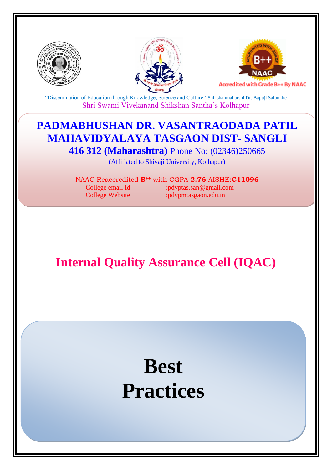





"Dissemination of Education through Knowledge, Science and Culture"-Shikshanmaharshi Dr. Bapuji Salunkhe Shri Swami Vivekanand Shikshan Santha's Kolhapur

# **PADMABHUSHAN DR. VASANTRAODADA PATIL MAHAVIDYALAYA TASGAON DIST- SANGLI**

**416 312 (Maharashtra)** Phone No: (02346)250665

(Affiliated to Shivaji University, Kolhapur)

NAAC Reaccredited **B++** with CGPA **2.76** AISHE:**C11096** College email Id :pdvptas.san@gmail.com College Website :pdvpmtasgaon.edu.in

**Internal Quality Assurance Cell (IQAC)**

# **Best Practices**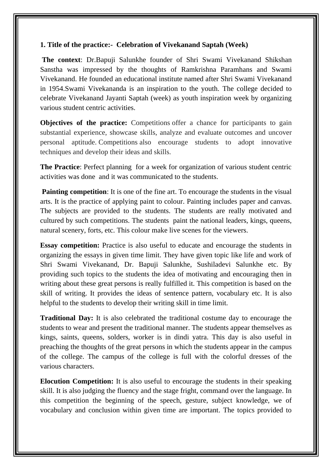## **1. Title of the practice:- Celebration of Vivekanand Saptah (Week)**

**The context**: Dr.Bapuji Salunkhe founder of Shri Swami Vivekanand Shikshan Sanstha was impressed by the thoughts of Ramkrishna Paramhans and Swami Vivekanand. He founded an educational institute named after Shri Swami Vivekanand in 1954.Swami Vivekananda is an inspiration to the youth. The college decided to celebrate Vivekanand Jayanti Saptah (week) as youth inspiration week by organizing various student centric activities.

**Objectives of the practice:** Competitions offer a chance for participants to gain substantial experience, showcase skills, analyze and evaluate outcomes and uncover personal aptitude. Competitions also encourage students to adopt innovative techniques and develop their ideas and skills.

**The Practice**: Perfect planning for a week for organization of various student centric activities was done and it was communicated to the students.

**Painting competition:** It is one of the fine art. To encourage the students in the visual arts. It is the practice of applying paint to colour. Painting includes paper and canvas. The subjects are provided to the students. The students are really motivated and cultured by such competitions. The students paint the national leaders, kings, queens, natural scenery, forts, etc. This colour make live scenes for the viewers.

**Essay competition:** Practice is also useful to educate and encourage the students in organizing the essays in given time limit. They have given topic like life and work of Shri Swami Vivekanand, Dr. Bapuji Salunkhe, Sushiladevi Salunkhe etc. By providing such topics to the students the idea of motivating and encouraging then in writing about these great persons is really fulfilled it. This competition is based on the skill of writing. It provides the ideas of sentence pattern, vocabulary etc. It is also helpful to the students to develop their writing skill in time limit.

**Traditional Day:** It is also celebrated the traditional costume day to encourage the students to wear and present the traditional manner. The students appear themselves as kings, saints, queens, solders, worker is in dindi yatra. This day is also useful in preaching the thoughts of the great persons in which the students appear in the campus of the college. The campus of the college is full with the colorful dresses of the various characters.

**Elocution Competition:** It is also useful to encourage the students in their speaking skill. It is also judging the fluency and the stage fright, command over the language. In this competition the beginning of the speech, gesture, subject knowledge, we of vocabulary and conclusion within given time are important. The topics provided to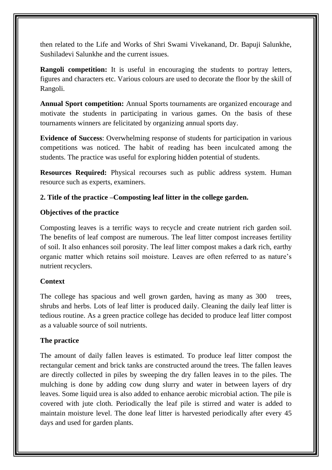then related to the Life and Works of Shri Swami Vivekanand, Dr. Bapuji Salunkhe, Sushiladevi Salunkhe and the current issues.

**Rangoli competition:** It is useful in encouraging the students to portray letters, figures and characters etc. Various colours are used to decorate the floor by the skill of Rangoli.

**Annual Sport competition:** Annual Sports tournaments are organized encourage and motivate the students in participating in various games. On the basis of these tournaments winners are felicitated by organizing annual sports day.

**Evidence of Success**: Overwhelming response of students for participation in various competitions was noticed. The habit of reading has been inculcated among the students. The practice was useful for exploring hidden potential of students.

**Resources Required:** Physical recourses such as public address system. Human resource such as experts, examiners.

## **2. Title of the practice –Composting leaf litter in the college garden.**

#### **Objectives of the practice**

Composting leaves is a terrific ways to recycle and create nutrient rich garden soil. The benefits of leaf compost are numerous. The leaf litter compost increases fertility of soil. It also enhances soil porosity. The leaf litter compost makes a dark rich, earthy organic matter which retains soil moisture. Leaves are often referred to as nature's nutrient recyclers.

#### **Context**

The college has spacious and well grown garden, having as many as 300 trees, shrubs and herbs. Lots of leaf litter is produced daily. Cleaning the daily leaf litter is tedious routine. As a green practice college has decided to produce leaf litter compost as a valuable source of soil nutrients.

#### **The practice**

The amount of daily fallen leaves is estimated. To produce leaf litter compost the rectangular cement and brick tanks are constructed around the trees. The fallen leaves are directly collected in piles by sweeping the dry fallen leaves in to the piles. The mulching is done by adding cow dung slurry and water in between layers of dry leaves. Some liquid urea is also added to enhance aerobic microbial action. The pile is covered with jute cloth. Periodically the leaf pile is stirred and water is added to maintain moisture level. The done leaf litter is harvested periodically after every 45 days and used for garden plants.